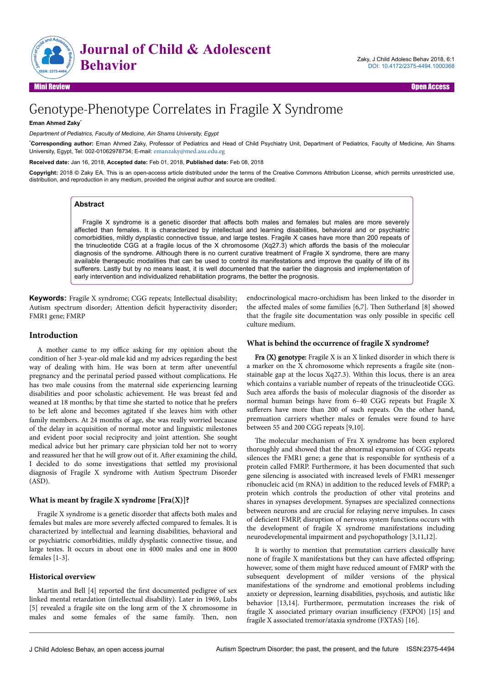

# Genotype-Phenotype Correlates in Fragile X Syndrome

**Eman Ahmed Zaky**\*

*Department of Pediatrics, Faculty of Medicine, Ain Shams University, Egypt*

\***Corresponding author:** Eman Ahmed Zaky, Professor of Pediatrics and Head of Child Psychiatry Unit, Department of Pediatrics, Faculty of Medicine, Ain Shams University, Egypt, Tel: 002-01062978734; E-mail: [emanzaky@med.asu.edu.eg](mailto:emanzaky@med.asu.edu.eg)

**Received date:** Jan 16, 2018, **Accepted date:** Feb 01, 2018, **Published date:** Feb 08, 2018

**Copyright:** 2018 © Zaky EA. This is an open-access article distributed under the terms of the Creative Commons Attribution License, which permits unrestricted use, distribution, and reproduction in any medium, provided the original author and source are credited.

# **Abstract**

Fragile X syndrome is a genetic disorder that affects both males and females but males are more severely affected than females. It is characterized by intellectual and learning disabilities, behavioral and or psychiatric comorbidities, mildly dysplastic connective tissue, and large testes. Fragile X cases have more than 200 repeats of the trinucleotide CGG at a fragile locus of the X chromosome (Xq27.3) which affords the basis of the molecular diagnosis of the syndrome. Although there is no current curative treatment of Fragile X syndrome, there are many available therapeutic modalities that can be used to control its manifestations and improve the quality of life of its sufferers. Lastly but by no means least, it is well documented that the earlier the diagnosis and implementation of early intervention and individualized rehabilitation programs, the better the prognosis.

**Keywords:** Fragile X syndrome; CGG repeats; Intellectual disability; Autism spectrum disorder; Attention deficit hyperactivity disorder; FMR1 gene; FMRP

# **Introduction**

A mother came to my office asking for my opinion about the condition of her 3-year-old male kid and my advices regarding the best way of dealing with him. He was born at term after uneventful pregnancy and the perinatal period passed without complications. He has two male cousins from the maternal side experiencing learning disabilities and poor scholastic achievement. He was breast fed and weaned at 18 months; by that time she started to notice that he prefers to be left alone and becomes agitated if she leaves him with other family members. At 24 months of age, she was really worried because of the delay in acquisition of normal motor and linguistic milestones and evident poor social reciprocity and joint attention. She sought medical advice but her primary care physician told her not to worry and reassured her that he will grow out of it. After examining the child, I decided to do some investigations that settled my provisional diagnosis of Fragile X syndrome with Autism Spectrum Disorder (ASD).

#### **What is meant by fragile X syndrome [Fra(X)]?**

Fragile X syndrome is a genetic disorder that affects both males and females but males are more severely affected compared to females. It is characterized by intellectual and learning disabilities, behavioral and or psychiatric comorbidities, mildly dysplastic connective tissue, and large testes. It occurs in about one in 4000 males and one in 8000 females [1-3].

# **Historical overview**

Martin and Bell [4] reported the first documented pedigree of sex linked mental retardation (intellectual disability). Later in 1969, Lubs [5] revealed a fragile site on the long arm of the X chromosome in males and some females of the same family. Нen, non endocrinological macro-orchidism has been linked to the disorder in the affected males of some families [6,7]. Then Sutherland [8] showed that the fragile site documentation was only possible in specific cell culture medium.

#### **What is behind the occurrence of fragile X syndrome?**

Fra (X) genotype: Fragile X is an X linked disorder in which there is a marker on the X chromosome which represents a fragile site (nonstainable gap at the locus Xq27.3). Within this locus, there is an area which contains a variable number of repeats of the trinucleotide CGG. Such area affords the basis of molecular diagnosis of the disorder as normal human beings have from 6–40 CGG repeats but Fragile X sufferers have more than 200 of such repeats. On the other hand, premuation carriers whether males or females were found to have between 55 and 200 CGG repeats [9,10].

The molecular mechanism of Fra X syndrome has been explored thoroughly and showed that the abnormal expansion of CGG repeats silences the FMR1 gene; a gene that is responsible for synthesis of a protein called FMRP. Furthermore, it has been documented that such gene silencing is associated with increased levels of FMR1 messenger ribonucleic acid (m RNA) in addition to the reduced levels of FMRP; a protein which controls the production of other vital proteins and shares in synapses development. Synapses are specialized connections between neurons and are crucial for relaying nerve impulses. In cases of deficient FMRP, disruption of nervous system functions occurs with the development of fragile X syndrome manifestations including neurodevelopmental impairment and psychopathology [3,11,12].

It is worthy to mention that premutation carriers classically have none of fragile X manifestations but they can have affected offspring; however, some of them might have reduced amount of FMRP with the subsequent development of milder versions of the physical manifestations of the syndrome and emotional problems including anxiety or depression, learning disabilities, psychosis, and autistic like behavior [13,14]. Furthermore, permutation increases the risk of fragile X associated primary ovarian insufficiency (FXPOI)  $[15]$  and fragile X associated tremor/ataxia syndrome (FXTAS) [16].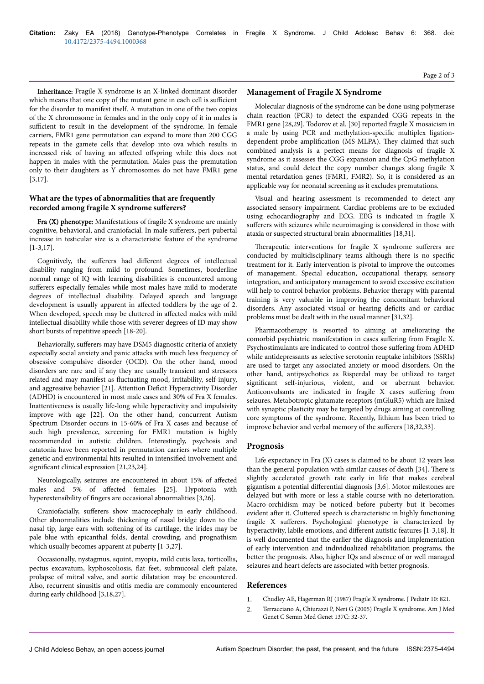Page 2 of 3

Inheritance: Fragile X syndrome is an X-linked dominant disorder which means that one copy of the mutant gene in each cell is sufficient for the disorder to manifest itself. A mutation in one of the two copies of the X chromosome in females and in the only copy of it in males is sufficient to result in the development of the syndrome. In female carriers, FMR1 gene permutation can expand to more than 200 CGG repeats in the gamete cells that develop into ova which results in increased risk of having an affected offspring while this does not happen in males with the permutation. Males pass the premutation only to their daughters as Y chromosomes do not have FMR1 gene [3,17].

# **What are the types of abnormalities that are frequently**  $recorded among fragile X syndrome suffers?$

Fra (X) phenotype: Manifestations of fragile X syndrome are mainly cognitive, behavioral, and craniofacial. In male sufferers, peri-pubertal increase in testicular size is a characteristic feature of the syndrome [1-3,17].

Cognitively, the sufferers had different degrees of intellectual disability ranging from mild to profound. Sometimes, borderline normal range of IQ with learning disabilities is encountered among sufferers especially females while most males have mild to moderate degrees of intellectual disability. Delayed speech and language development is usually apparent in affected toddlers by the age of 2. When developed, speech may be cluttered in affected males with mild intellectual disability while those with severer degrees of ID may show short bursts of repetitive speech [18-20].

Behaviorally, sufferers may have DSM5 diagnostic criteria of anxiety especially social anxiety and panic attacks with much less frequency of obsessive compulsive disorder (OCD). On the other hand, mood disorders are rare and if any they are usually transient and stressors related and may manifest as fluctuating mood, irritability, self-injury, and aggressive behavior [21]. Attention Deficit Hyperactivity Disorder (ADHD) is encountered in most male cases and 30% of Fra X females. Inattentiveness is usually life-long while hyperactivity and impulsivity improve with age [22]. On the other hand, concurrent Autism Spectrum Disorder occurs in 15-60% of Fra X cases and because of such high prevalence, screening for FMR1 mutation is highly recommended in autistic children. Interestingly, psychosis and catatonia have been reported in permutation carriers where multiple genetic and environmental hits resulted in intensified involvement and significant clinical expression  $[21,23,24]$ .

Neurologically, seizures are encountered in about 15% of affected males and 5% of affected females [25]. Hypotonia with hyperextensibility of fingers are occasional abnormalities [3,26].

Craniofacially, sufferers show macrocephaly in early childhood. Other abnormalities include thickening of nasal bridge down to the nasal tip, large ears with softening of its cartilage, the irides may be pale blue with epicanthal folds, dental crowding, and prognathism which usually becomes apparent at puberty [1-3,27].

Occasionally, nystagmus, squint, myopia, mild cutis laxa, torticollis, pectus excavatum, kyphoscoliosis, flat feet, submucosal cleft palate, prolapse of mitral valve, and aortic dilatation may be encountered. Also, recurrent sinusitis and otitis media are commonly encountered during early childhood [3,18,27].

# **Management of Fragile X Syndrome**

Molecular diagnosis of the syndrome can be done using polymerase chain reaction (PCR) to detect the expanded CGG repeats in the FMR1 gene [28,29]. Todorov et al. [30] reported fragile X mosaicism in a male by using PCR and methylation-specific multiplex ligationdependent probe amplification (MS-MLPA). They claimed that such combined analysis is a perfect means for diagnosis of fragile X syndrome as it assesses the CGG expansion and the CpG methylation status, and could detect the copy number changes along fragile X mental retardation genes (FMR1, FMR2). So, it is considered as an applicable way for neonatal screening as it excludes premutations.

Visual and hearing assessment is recommended to detect any associated sensory impairment. Cardiac problems are to be excluded using echocardiography and ECG. EEG is indicated in fragile X sufferers with seizures while neuroimaging is considered in those with ataxia or suspected structural brain abnormalities [18,31].

Therapeutic interventions for fragile X syndrome sufferers are conducted by multidisciplinary teams although there is no specific treatment for it. Early intervention is pivotal to improve the outcomes of management. Special education, occupational therapy, sensory integration, and anticipatory management to avoid excessive excitation will help to control behavior problems. Behavior therapy with parental training is very valuable in improving the concomitant behavioral disorders. Any associated visual or hearing deficits and or cardiac problems must be dealt with in the usual manner [31,32].

Pharmacotherapy is resorted to aiming at ameliorating the comorbid psychiatric manifestation in cases suffering from Fragile X. Psychostimulants are indicated to control those suffering from ADHD while antidepressants as selective serotonin reuptake inhibitors (SSRIs) are used to target any associated anxiety or mood disorders. On the other hand, antipsychotics as Risperdal may be utilized to target significant self-injurious, violent, and or aberrant behavior. Anticonvulsants are indicated in fragile X cases suffering from seizures. Metabotropic glutamate receptors (mGluR5) which are linked with synaptic plasticity may be targeted by drugs aiming at controlling core symptoms of the syndrome. Recently, lithium has been tried to improve behavior and verbal memory of the sufferers [18,32,33].

# **Prognosis**

Life expectancy in Fra (X) cases is claimed to be about 12 years less than the general population with similar causes of death [34]. Нere is slightly accelerated growth rate early in life that makes cerebral gigantism a potential differential diagnosis [3,6]. Motor milestones are delayed but with more or less a stable course with no deterioration. Macro-orchidism may be noticed before puberty but it becomes evident after it. Cluttered speech is characteristic in highly functioning fragile X sufferers. Psychological phenotype is characterized by hyperactivity, labile emotions, and different autistic features [1-3,18]. It is well documented that the earlier the diagnosis and implementation of early intervention and individualized rehabilitation programs, the better the prognosis. Also, higher IQs and absence of or well managed seizures and heart defects are associated with better prognosis.

# **References**

- 1. [Chudley AE, Hagerman RJ \(1987\) Fragile X syndrome. J Pediatr 10: 821](https://www.sciencedirect.com/science/article/pii/S002234768780392X).
- 2. [Terracciano A, Chiurazzi P, Neri G \(2005\) Fragile X syndrome. Am J Med](http://onlinelibrary.wiley.com/doi/10.1002/ajmg.c.30062/full) [Genet C Semin Med Genet 137C: 32-37](http://onlinelibrary.wiley.com/doi/10.1002/ajmg.c.30062/full).